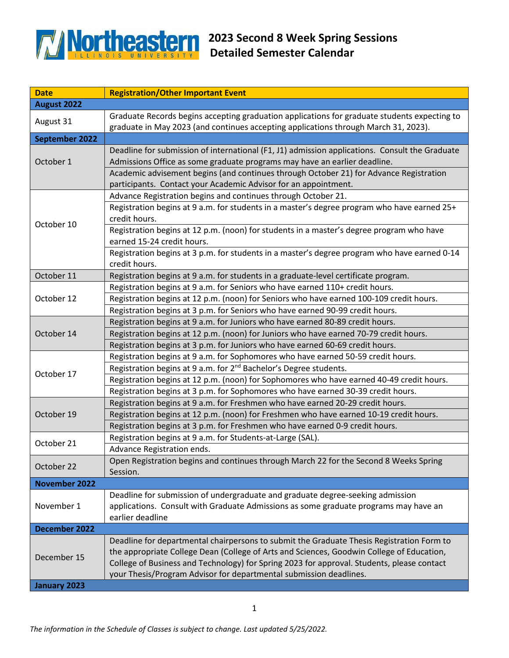

| <b>Date</b>           | <b>Registration/Other Important Event</b>                                                                    |
|-----------------------|--------------------------------------------------------------------------------------------------------------|
| August 2022           |                                                                                                              |
| August 31             | Graduate Records begins accepting graduation applications for graduate students expecting to                 |
|                       | graduate in May 2023 (and continues accepting applications through March 31, 2023).                          |
| <b>September 2022</b> |                                                                                                              |
| October 1             | Deadline for submission of international (F1, J1) admission applications. Consult the Graduate               |
|                       | Admissions Office as some graduate programs may have an earlier deadline.                                    |
|                       | Academic advisement begins (and continues through October 21) for Advance Registration                       |
|                       | participants. Contact your Academic Advisor for an appointment.                                              |
| October 10            | Advance Registration begins and continues through October 21.                                                |
|                       | Registration begins at 9 a.m. for students in a master's degree program who have earned 25+<br>credit hours. |
|                       | Registration begins at 12 p.m. (noon) for students in a master's degree program who have                     |
|                       | earned 15-24 credit hours.                                                                                   |
|                       | Registration begins at 3 p.m. for students in a master's degree program who have earned 0-14                 |
|                       | credit hours.                                                                                                |
| October 11            | Registration begins at 9 a.m. for students in a graduate-level certificate program.                          |
|                       | Registration begins at 9 a.m. for Seniors who have earned 110+ credit hours.                                 |
| October 12            | Registration begins at 12 p.m. (noon) for Seniors who have earned 100-109 credit hours.                      |
|                       | Registration begins at 3 p.m. for Seniors who have earned 90-99 credit hours.                                |
|                       | Registration begins at 9 a.m. for Juniors who have earned 80-89 credit hours.                                |
| October 14            | Registration begins at 12 p.m. (noon) for Juniors who have earned 70-79 credit hours.                        |
|                       | Registration begins at 3 p.m. for Juniors who have earned 60-69 credit hours.                                |
|                       | Registration begins at 9 a.m. for Sophomores who have earned 50-59 credit hours.                             |
|                       | Registration begins at 9 a.m. for 2 <sup>nd</sup> Bachelor's Degree students.                                |
| October 17            | Registration begins at 12 p.m. (noon) for Sophomores who have earned 40-49 credit hours.                     |
|                       | Registration begins at 3 p.m. for Sophomores who have earned 30-39 credit hours.                             |
| October 19            | Registration begins at 9 a.m. for Freshmen who have earned 20-29 credit hours.                               |
|                       | Registration begins at 12 p.m. (noon) for Freshmen who have earned 10-19 credit hours.                       |
|                       | Registration begins at 3 p.m. for Freshmen who have earned 0-9 credit hours.                                 |
| October 21            | Registration begins at 9 a.m. for Students-at-Large (SAL).                                                   |
|                       | Advance Registration ends.                                                                                   |
|                       | Open Registration begins and continues through March 22 for the Second 8 Weeks Spring                        |
| October 22            | Session.                                                                                                     |
| <b>November 2022</b>  |                                                                                                              |
|                       | Deadline for submission of undergraduate and graduate degree-seeking admission                               |
| November 1            | applications. Consult with Graduate Admissions as some graduate programs may have an                         |
|                       | earlier deadline                                                                                             |
| December 2022         |                                                                                                              |
| December 15           | Deadline for departmental chairpersons to submit the Graduate Thesis Registration Form to                    |
|                       | the appropriate College Dean (College of Arts and Sciences, Goodwin College of Education,                    |
|                       | College of Business and Technology) for Spring 2023 for approval. Students, please contact                   |
|                       | your Thesis/Program Advisor for departmental submission deadlines.                                           |
| January 2023          |                                                                                                              |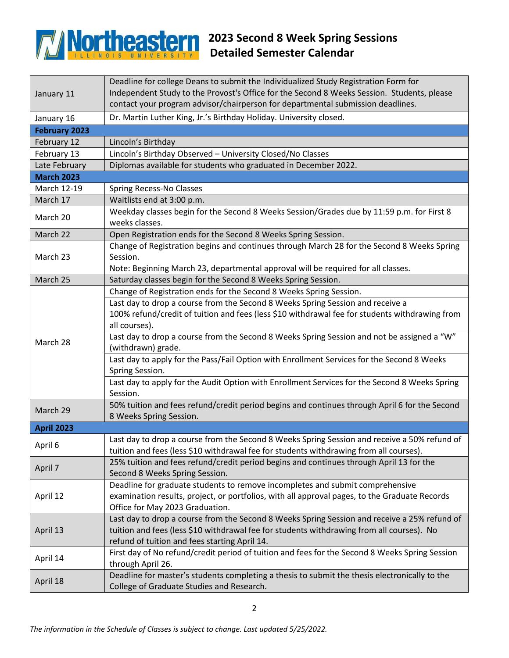## **2023 Second 8 Week Spring Sessions Concrete Spring Sessions Detailed Semester Calendar Detailed Semester Calendar**

| January 11           | Deadline for college Deans to submit the Individualized Study Registration Form for<br>Independent Study to the Provost's Office for the Second 8 Weeks Session. Students, please<br>contact your program advisor/chairperson for departmental submission deadlines.                            |
|----------------------|-------------------------------------------------------------------------------------------------------------------------------------------------------------------------------------------------------------------------------------------------------------------------------------------------|
| January 16           | Dr. Martin Luther King, Jr.'s Birthday Holiday. University closed.                                                                                                                                                                                                                              |
| <b>February 2023</b> |                                                                                                                                                                                                                                                                                                 |
| February 12          | Lincoln's Birthday                                                                                                                                                                                                                                                                              |
| February 13          | Lincoln's Birthday Observed - University Closed/No Classes                                                                                                                                                                                                                                      |
| Late February        | Diplomas available for students who graduated in December 2022.                                                                                                                                                                                                                                 |
| <b>March 2023</b>    |                                                                                                                                                                                                                                                                                                 |
| March 12-19          | Spring Recess-No Classes                                                                                                                                                                                                                                                                        |
| March 17             | Waitlists end at 3:00 p.m.                                                                                                                                                                                                                                                                      |
| March 20             | Weekday classes begin for the Second 8 Weeks Session/Grades due by 11:59 p.m. for First 8<br>weeks classes.                                                                                                                                                                                     |
| March 22             | Open Registration ends for the Second 8 Weeks Spring Session.                                                                                                                                                                                                                                   |
| March 23             | Change of Registration begins and continues through March 28 for the Second 8 Weeks Spring<br>Session.<br>Note: Beginning March 23, departmental approval will be required for all classes.                                                                                                     |
| March 25             | Saturday classes begin for the Second 8 Weeks Spring Session.                                                                                                                                                                                                                                   |
|                      | Change of Registration ends for the Second 8 Weeks Spring Session.                                                                                                                                                                                                                              |
| March 28             | Last day to drop a course from the Second 8 Weeks Spring Session and receive a<br>100% refund/credit of tuition and fees (less \$10 withdrawal fee for students withdrawing from<br>all courses).<br>Last day to drop a course from the Second 8 Weeks Spring Session and not be assigned a "W" |
|                      | (withdrawn) grade.                                                                                                                                                                                                                                                                              |
|                      | Last day to apply for the Pass/Fail Option with Enrollment Services for the Second 8 Weeks<br>Spring Session.                                                                                                                                                                                   |
|                      | Last day to apply for the Audit Option with Enrollment Services for the Second 8 Weeks Spring<br>Session.                                                                                                                                                                                       |
| March 29             | 50% tuition and fees refund/credit period begins and continues through April 6 for the Second<br>8 Weeks Spring Session.                                                                                                                                                                        |
| <b>April 2023</b>    |                                                                                                                                                                                                                                                                                                 |
| April 6              | Last day to drop a course from the Second 8 Weeks Spring Session and receive a 50% refund of<br>tuition and fees (less \$10 withdrawal fee for students withdrawing from all courses).                                                                                                          |
| April 7              | 25% tuition and fees refund/credit period begins and continues through April 13 for the<br>Second 8 Weeks Spring Session.                                                                                                                                                                       |
| April 12             | Deadline for graduate students to remove incompletes and submit comprehensive<br>examination results, project, or portfolios, with all approval pages, to the Graduate Records<br>Office for May 2023 Graduation.                                                                               |
| April 13             | Last day to drop a course from the Second 8 Weeks Spring Session and receive a 25% refund of<br>tuition and fees (less \$10 withdrawal fee for students withdrawing from all courses). No<br>refund of tuition and fees starting April 14.                                                      |
| April 14             | First day of No refund/credit period of tuition and fees for the Second 8 Weeks Spring Session<br>through April 26.                                                                                                                                                                             |
| April 18             | Deadline for master's students completing a thesis to submit the thesis electronically to the<br>College of Graduate Studies and Research.                                                                                                                                                      |